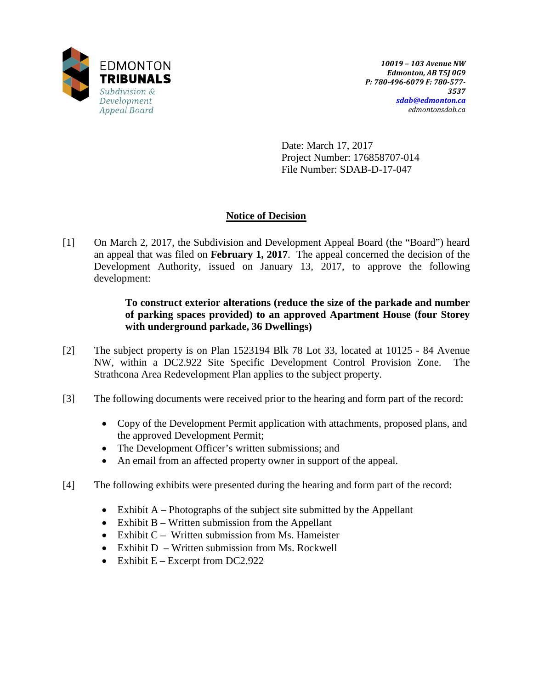

Date: March 17, 2017 Project Number: 176858707-014 File Number: SDAB-D-17-047

# **Notice of Decision**

[1] On March 2, 2017, the Subdivision and Development Appeal Board (the "Board") heard an appeal that was filed on **February 1, 2017**. The appeal concerned the decision of the Development Authority, issued on January 13, 2017, to approve the following development:

# **To construct exterior alterations (reduce the size of the parkade and number of parking spaces provided) to an approved Apartment House (four Storey with underground parkade, 36 Dwellings)**

- [2] The subject property is on Plan 1523194 Blk 78 Lot 33, located at 10125 84 Avenue NW, within a DC2.922 Site Specific Development Control Provision Zone. The Strathcona Area Redevelopment Plan applies to the subject property.
- [3] The following documents were received prior to the hearing and form part of the record:
	- Copy of the Development Permit application with attachments, proposed plans, and the approved Development Permit;
	- The Development Officer's written submissions; and
	- An email from an affected property owner in support of the appeal.
- [4] The following exhibits were presented during the hearing and form part of the record:
	- Exhibit  $A$  Photographs of the subject site submitted by the Appellant
	- Exhibit B Written submission from the Appellant
	- Exhibit C Written submission from Ms. Hameister
	- Exhibit D Written submission from Ms. Rockwell
	- Exhibit  $E -$  Excerpt from DC2.922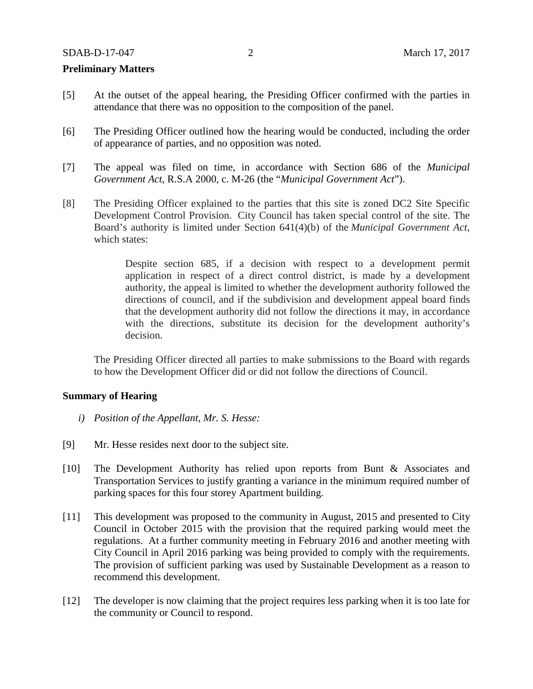## **Preliminary Matters**

- [5] At the outset of the appeal hearing, the Presiding Officer confirmed with the parties in attendance that there was no opposition to the composition of the panel.
- [6] The Presiding Officer outlined how the hearing would be conducted, including the order of appearance of parties, and no opposition was noted.
- [7] The appeal was filed on time, in accordance with Section 686 of the *Municipal Government Act*, R.S.A 2000, c. M-26 (the "*Municipal Government Act*").
- [8] The Presiding Officer explained to the parties that this site is zoned DC2 Site Specific Development Control Provision. City Council has taken special control of the site. The Board's authority is limited under Section 641(4)(b) of the *Municipal Government Act*, which states:

Despite section 685, if a decision with respect to a development permit application in respect of a direct control district, is made by a development authority, the appeal is limited to whether the development authority followed the directions of council, and if the subdivision and development appeal board finds that the development authority did not follow the directions it may, in accordance with the directions, substitute its decision for the development authority's decision.

The Presiding Officer directed all parties to make submissions to the Board with regards to how the Development Officer did or did not follow the directions of Council.

### **Summary of Hearing**

- *i) Position of the Appellant, Mr. S. Hesse:*
- [9] Mr. Hesse resides next door to the subject site.
- [10] The Development Authority has relied upon reports from Bunt & Associates and Transportation Services to justify granting a variance in the minimum required number of parking spaces for this four storey Apartment building.
- [11] This development was proposed to the community in August, 2015 and presented to City Council in October 2015 with the provision that the required parking would meet the regulations. At a further community meeting in February 2016 and another meeting with City Council in April 2016 parking was being provided to comply with the requirements. The provision of sufficient parking was used by Sustainable Development as a reason to recommend this development.
- [12] The developer is now claiming that the project requires less parking when it is too late for the community or Council to respond.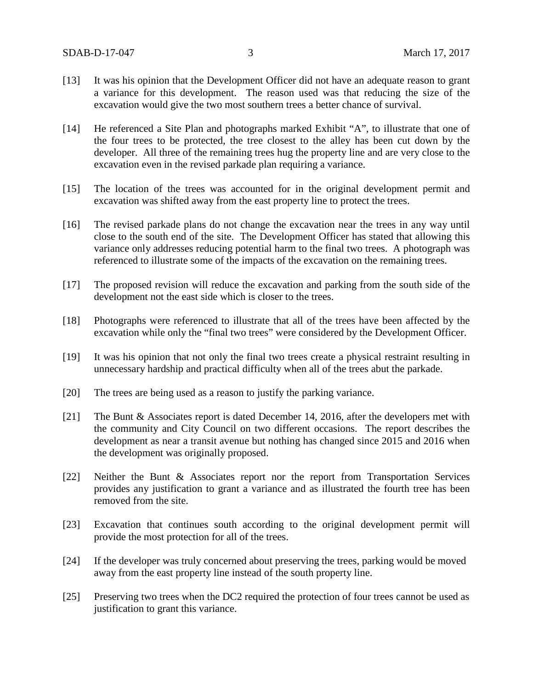- [13] It was his opinion that the Development Officer did not have an adequate reason to grant a variance for this development. The reason used was that reducing the size of the excavation would give the two most southern trees a better chance of survival.
- [14] He referenced a Site Plan and photographs marked Exhibit "A", to illustrate that one of the four trees to be protected, the tree closest to the alley has been cut down by the developer. All three of the remaining trees hug the property line and are very close to the excavation even in the revised parkade plan requiring a variance.
- [15] The location of the trees was accounted for in the original development permit and excavation was shifted away from the east property line to protect the trees.
- [16] The revised parkade plans do not change the excavation near the trees in any way until close to the south end of the site. The Development Officer has stated that allowing this variance only addresses reducing potential harm to the final two trees. A photograph was referenced to illustrate some of the impacts of the excavation on the remaining trees.
- [17] The proposed revision will reduce the excavation and parking from the south side of the development not the east side which is closer to the trees.
- [18] Photographs were referenced to illustrate that all of the trees have been affected by the excavation while only the "final two trees" were considered by the Development Officer.
- [19] It was his opinion that not only the final two trees create a physical restraint resulting in unnecessary hardship and practical difficulty when all of the trees abut the parkade.
- [20] The trees are being used as a reason to justify the parking variance.
- [21] The Bunt & Associates report is dated December 14, 2016, after the developers met with the community and City Council on two different occasions. The report describes the development as near a transit avenue but nothing has changed since 2015 and 2016 when the development was originally proposed.
- [22] Neither the Bunt & Associates report nor the report from Transportation Services provides any justification to grant a variance and as illustrated the fourth tree has been removed from the site.
- [23] Excavation that continues south according to the original development permit will provide the most protection for all of the trees.
- [24] If the developer was truly concerned about preserving the trees, parking would be moved away from the east property line instead of the south property line.
- [25] Preserving two trees when the DC2 required the protection of four trees cannot be used as justification to grant this variance.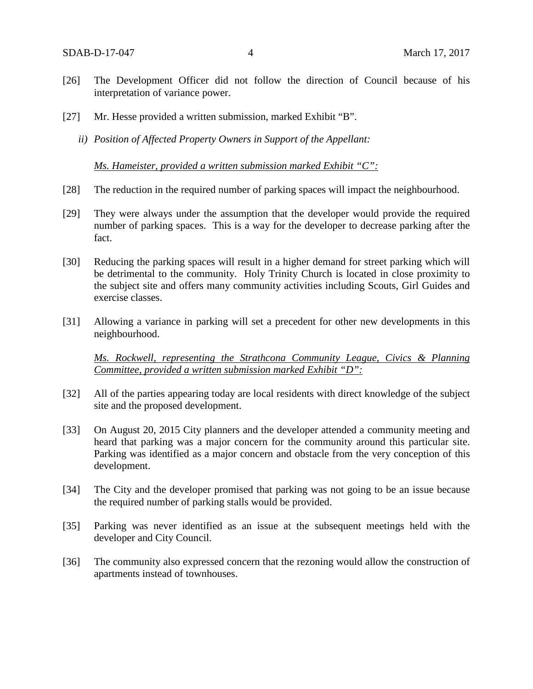- [26] The Development Officer did not follow the direction of Council because of his interpretation of variance power.
- [27] Mr. Hesse provided a written submission, marked Exhibit "B".
	- *ii) Position of Affected Property Owners in Support of the Appellant:*

*Ms. Hameister, provided a written submission marked Exhibit "C":*

- [28] The reduction in the required number of parking spaces will impact the neighbourhood.
- [29] They were always under the assumption that the developer would provide the required number of parking spaces. This is a way for the developer to decrease parking after the fact.
- [30] Reducing the parking spaces will result in a higher demand for street parking which will be detrimental to the community. Holy Trinity Church is located in close proximity to the subject site and offers many community activities including Scouts, Girl Guides and exercise classes.
- [31] Allowing a variance in parking will set a precedent for other new developments in this neighbourhood.

*Ms. Rockwell, representing the Strathcona Community League, Civics & Planning Committee, provided a written submission marked Exhibit "D":*

- [32] All of the parties appearing today are local residents with direct knowledge of the subject site and the proposed development.
- [33] On August 20, 2015 City planners and the developer attended a community meeting and heard that parking was a major concern for the community around this particular site. Parking was identified as a major concern and obstacle from the very conception of this development.
- [34] The City and the developer promised that parking was not going to be an issue because the required number of parking stalls would be provided.
- [35] Parking was never identified as an issue at the subsequent meetings held with the developer and City Council.
- [36] The community also expressed concern that the rezoning would allow the construction of apartments instead of townhouses.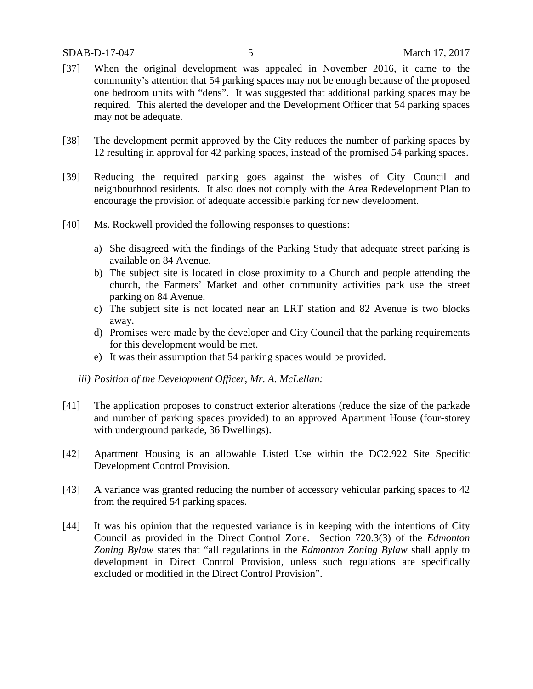- [37] When the original development was appealed in November 2016, it came to the community's attention that 54 parking spaces may not be enough because of the proposed one bedroom units with "dens". It was suggested that additional parking spaces may be required. This alerted the developer and the Development Officer that 54 parking spaces may not be adequate.
- [38] The development permit approved by the City reduces the number of parking spaces by 12 resulting in approval for 42 parking spaces, instead of the promised 54 parking spaces.
- [39] Reducing the required parking goes against the wishes of City Council and neighbourhood residents. It also does not comply with the Area Redevelopment Plan to encourage the provision of adequate accessible parking for new development.
- [40] Ms. Rockwell provided the following responses to questions:
	- a) She disagreed with the findings of the Parking Study that adequate street parking is available on 84 Avenue.
	- b) The subject site is located in close proximity to a Church and people attending the church, the Farmers' Market and other community activities park use the street parking on 84 Avenue.
	- c) The subject site is not located near an LRT station and 82 Avenue is two blocks away.
	- d) Promises were made by the developer and City Council that the parking requirements for this development would be met.
	- e) It was their assumption that 54 parking spaces would be provided.
	- *iii) Position of the Development Officer, Mr. A. McLellan:*
- [41] The application proposes to construct exterior alterations (reduce the size of the parkade and number of parking spaces provided) to an approved Apartment House (four-storey with underground parkade, 36 Dwellings).
- [42] Apartment Housing is an allowable Listed Use within the DC2.922 Site Specific Development Control Provision.
- [43] A variance was granted reducing the number of accessory vehicular parking spaces to 42 from the required 54 parking spaces.
- [44] It was his opinion that the requested variance is in keeping with the intentions of City Council as provided in the Direct Control Zone. Section 720.3(3) of the *Edmonton Zoning Bylaw* states that "all regulations in the *Edmonton Zoning Bylaw* shall apply to development in Direct Control Provision, unless such regulations are specifically excluded or modified in the Direct Control Provision".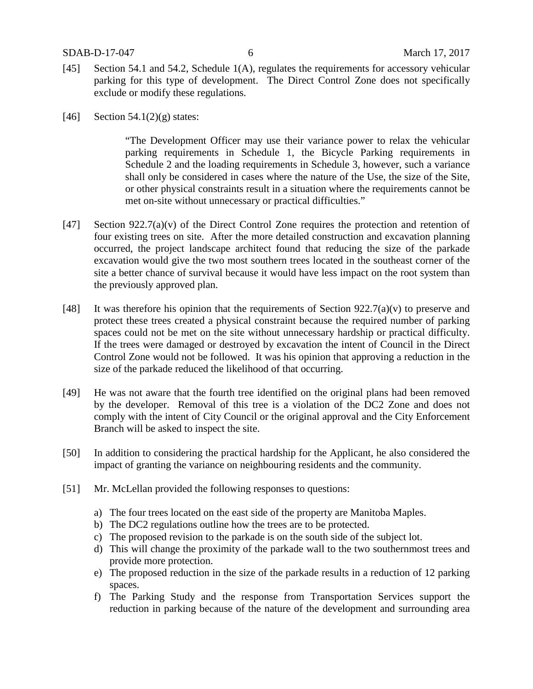- [45] Section 54.1 and 54.2, Schedule 1(A), regulates the requirements for accessory vehicular parking for this type of development. The Direct Control Zone does not specifically exclude or modify these regulations.
- [46] Section 54.1(2)(g) states:

"The Development Officer may use their variance power to relax the vehicular parking requirements in Schedule 1, the Bicycle Parking requirements in Schedule 2 and the loading requirements in Schedule 3, however, such a variance shall only be considered in cases where the nature of the Use, the size of the Site, or other physical constraints result in a situation where the requirements cannot be met on-site without unnecessary or practical difficulties."

- [47] Section 922.7(a)(v) of the Direct Control Zone requires the protection and retention of four existing trees on site. After the more detailed construction and excavation planning occurred, the project landscape architect found that reducing the size of the parkade excavation would give the two most southern trees located in the southeast corner of the site a better chance of survival because it would have less impact on the root system than the previously approved plan.
- [48] It was therefore his opinion that the requirements of Section  $922.7(a)(v)$  to preserve and protect these trees created a physical constraint because the required number of parking spaces could not be met on the site without unnecessary hardship or practical difficulty. If the trees were damaged or destroyed by excavation the intent of Council in the Direct Control Zone would not be followed. It was his opinion that approving a reduction in the size of the parkade reduced the likelihood of that occurring.
- [49] He was not aware that the fourth tree identified on the original plans had been removed by the developer. Removal of this tree is a violation of the DC2 Zone and does not comply with the intent of City Council or the original approval and the City Enforcement Branch will be asked to inspect the site.
- [50] In addition to considering the practical hardship for the Applicant, he also considered the impact of granting the variance on neighbouring residents and the community.
- [51] Mr. McLellan provided the following responses to questions:
	- a) The four trees located on the east side of the property are Manitoba Maples.
	- b) The DC2 regulations outline how the trees are to be protected.
	- c) The proposed revision to the parkade is on the south side of the subject lot.
	- d) This will change the proximity of the parkade wall to the two southernmost trees and provide more protection.
	- e) The proposed reduction in the size of the parkade results in a reduction of 12 parking spaces.
	- f) The Parking Study and the response from Transportation Services support the reduction in parking because of the nature of the development and surrounding area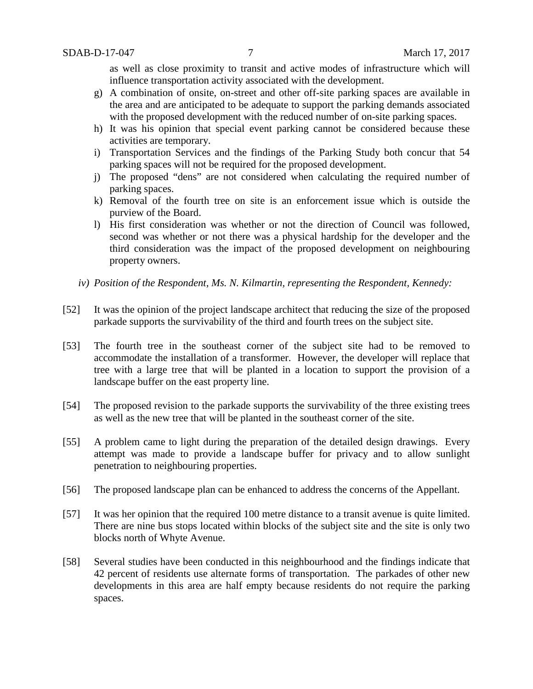as well as close proximity to transit and active modes of infrastructure which will influence transportation activity associated with the development.

- g) A combination of onsite, on-street and other off-site parking spaces are available in the area and are anticipated to be adequate to support the parking demands associated with the proposed development with the reduced number of on-site parking spaces.
- h) It was his opinion that special event parking cannot be considered because these activities are temporary.
- i) Transportation Services and the findings of the Parking Study both concur that 54 parking spaces will not be required for the proposed development.
- j) The proposed "dens" are not considered when calculating the required number of parking spaces.
- k) Removal of the fourth tree on site is an enforcement issue which is outside the purview of the Board.
- l) His first consideration was whether or not the direction of Council was followed, second was whether or not there was a physical hardship for the developer and the third consideration was the impact of the proposed development on neighbouring property owners.
- *iv) Position of the Respondent, Ms. N. Kilmartin, representing the Respondent, Kennedy:*
- [52] It was the opinion of the project landscape architect that reducing the size of the proposed parkade supports the survivability of the third and fourth trees on the subject site.
- [53] The fourth tree in the southeast corner of the subject site had to be removed to accommodate the installation of a transformer. However, the developer will replace that tree with a large tree that will be planted in a location to support the provision of a landscape buffer on the east property line.
- [54] The proposed revision to the parkade supports the survivability of the three existing trees as well as the new tree that will be planted in the southeast corner of the site.
- [55] A problem came to light during the preparation of the detailed design drawings. Every attempt was made to provide a landscape buffer for privacy and to allow sunlight penetration to neighbouring properties.
- [56] The proposed landscape plan can be enhanced to address the concerns of the Appellant.
- [57] It was her opinion that the required 100 metre distance to a transit avenue is quite limited. There are nine bus stops located within blocks of the subject site and the site is only two blocks north of Whyte Avenue.
- [58] Several studies have been conducted in this neighbourhood and the findings indicate that 42 percent of residents use alternate forms of transportation. The parkades of other new developments in this area are half empty because residents do not require the parking spaces.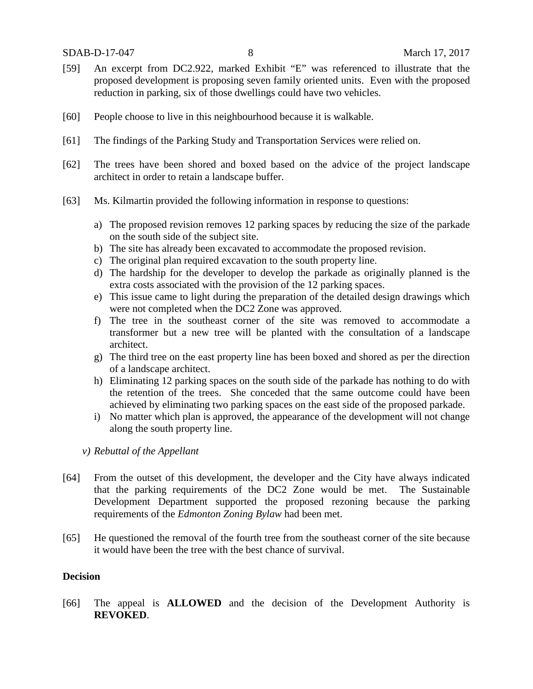- [59] An excerpt from DC2.922, marked Exhibit "E" was referenced to illustrate that the proposed development is proposing seven family oriented units. Even with the proposed reduction in parking, six of those dwellings could have two vehicles.
- [60] People choose to live in this neighbourhood because it is walkable.
- [61] The findings of the Parking Study and Transportation Services were relied on.
- [62] The trees have been shored and boxed based on the advice of the project landscape architect in order to retain a landscape buffer.
- [63] Ms. Kilmartin provided the following information in response to questions:
	- a) The proposed revision removes 12 parking spaces by reducing the size of the parkade on the south side of the subject site.
	- b) The site has already been excavated to accommodate the proposed revision.
	- c) The original plan required excavation to the south property line.
	- d) The hardship for the developer to develop the parkade as originally planned is the extra costs associated with the provision of the 12 parking spaces.
	- e) This issue came to light during the preparation of the detailed design drawings which were not completed when the DC2 Zone was approved.
	- f) The tree in the southeast corner of the site was removed to accommodate a transformer but a new tree will be planted with the consultation of a landscape architect.
	- g) The third tree on the east property line has been boxed and shored as per the direction of a landscape architect.
	- h) Eliminating 12 parking spaces on the south side of the parkade has nothing to do with the retention of the trees. She conceded that the same outcome could have been achieved by eliminating two parking spaces on the east side of the proposed parkade.
	- i) No matter which plan is approved, the appearance of the development will not change along the south property line.
	- *v) Rebuttal of the Appellant*
- [64] From the outset of this development, the developer and the City have always indicated that the parking requirements of the DC2 Zone would be met. The Sustainable Development Department supported the proposed rezoning because the parking requirements of the *Edmonton Zoning Bylaw* had been met.
- [65] He questioned the removal of the fourth tree from the southeast corner of the site because it would have been the tree with the best chance of survival.

## **Decision**

[66] The appeal is **ALLOWED** and the decision of the Development Authority is **REVOKED**.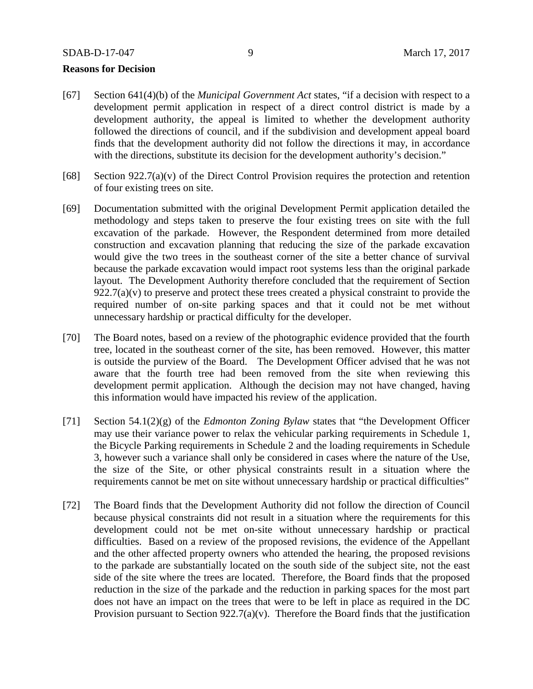### **Reasons for Decision**

- [67] Section 641(4)(b) of the *Municipal Government Act* states, "if a decision with respect to a development permit application in respect of a direct control district is made by a development authority, the appeal is limited to whether the development authority followed the directions of council, and if the subdivision and development appeal board finds that the development authority did not follow the directions it may, in accordance with the directions, substitute its decision for the development authority's decision."
- [68] Section 922.7(a)(v) of the Direct Control Provision requires the protection and retention of four existing trees on site.
- [69] Documentation submitted with the original Development Permit application detailed the methodology and steps taken to preserve the four existing trees on site with the full excavation of the parkade. However, the Respondent determined from more detailed construction and excavation planning that reducing the size of the parkade excavation would give the two trees in the southeast corner of the site a better chance of survival because the parkade excavation would impact root systems less than the original parkade layout. The Development Authority therefore concluded that the requirement of Section  $922.7(a)(v)$  to preserve and protect these trees created a physical constraint to provide the required number of on-site parking spaces and that it could not be met without unnecessary hardship or practical difficulty for the developer.
- [70] The Board notes, based on a review of the photographic evidence provided that the fourth tree, located in the southeast corner of the site, has been removed. However, this matter is outside the purview of the Board. The Development Officer advised that he was not aware that the fourth tree had been removed from the site when reviewing this development permit application. Although the decision may not have changed, having this information would have impacted his review of the application.
- [71] Section 54.1(2)(g) of the *Edmonton Zoning Bylaw* states that "the Development Officer may use their variance power to relax the vehicular parking requirements in Schedule 1, the Bicycle Parking requirements in Schedule 2 and the loading requirements in Schedule 3, however such a variance shall only be considered in cases where the nature of the Use, the size of the Site, or other physical constraints result in a situation where the requirements cannot be met on site without unnecessary hardship or practical difficulties"
- [72] The Board finds that the Development Authority did not follow the direction of Council because physical constraints did not result in a situation where the requirements for this development could not be met on-site without unnecessary hardship or practical difficulties. Based on a review of the proposed revisions, the evidence of the Appellant and the other affected property owners who attended the hearing, the proposed revisions to the parkade are substantially located on the south side of the subject site, not the east side of the site where the trees are located. Therefore, the Board finds that the proposed reduction in the size of the parkade and the reduction in parking spaces for the most part does not have an impact on the trees that were to be left in place as required in the DC Provision pursuant to Section  $922.7(a)(v)$ . Therefore the Board finds that the justification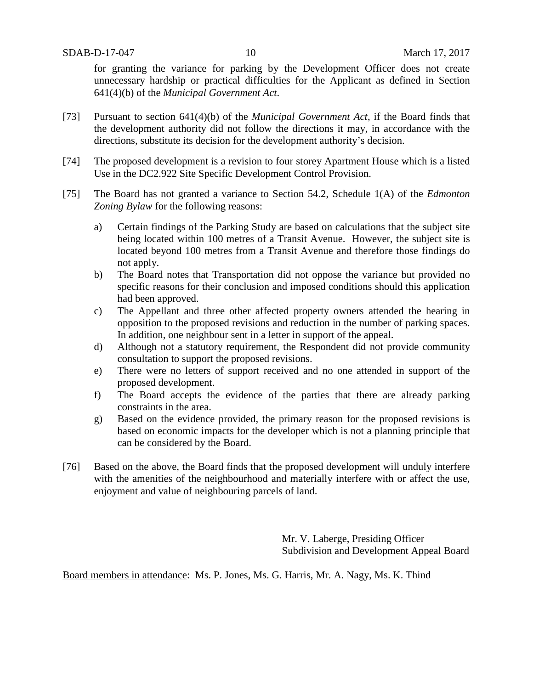for granting the variance for parking by the Development Officer does not create unnecessary hardship or practical difficulties for the Applicant as defined in Section 641(4)(b) of the *Municipal Government Act*.

- [73] Pursuant to section 641(4)(b) of the *Municipal Government Act*, if the Board finds that the development authority did not follow the directions it may, in accordance with the directions, substitute its decision for the development authority's decision.
- [74] The proposed development is a revision to four storey Apartment House which is a listed Use in the DC2.922 Site Specific Development Control Provision.
- [75] The Board has not granted a variance to Section 54.2, Schedule 1(A) of the *Edmonton Zoning Bylaw* for the following reasons:
	- a) Certain findings of the Parking Study are based on calculations that the subject site being located within 100 metres of a Transit Avenue. However, the subject site is located beyond 100 metres from a Transit Avenue and therefore those findings do not apply.
	- b) The Board notes that Transportation did not oppose the variance but provided no specific reasons for their conclusion and imposed conditions should this application had been approved.
	- c) The Appellant and three other affected property owners attended the hearing in opposition to the proposed revisions and reduction in the number of parking spaces. In addition, one neighbour sent in a letter in support of the appeal.
	- d) Although not a statutory requirement, the Respondent did not provide community consultation to support the proposed revisions.
	- e) There were no letters of support received and no one attended in support of the proposed development.
	- f) The Board accepts the evidence of the parties that there are already parking constraints in the area.
	- g) Based on the evidence provided, the primary reason for the proposed revisions is based on economic impacts for the developer which is not a planning principle that can be considered by the Board.
- [76] Based on the above, the Board finds that the proposed development will unduly interfere with the amenities of the neighbourhood and materially interfere with or affect the use, enjoyment and value of neighbouring parcels of land.

Mr. V. Laberge, Presiding Officer Subdivision and Development Appeal Board

Board members in attendance: Ms. P. Jones, Ms. G. Harris, Mr. A. Nagy, Ms. K. Thind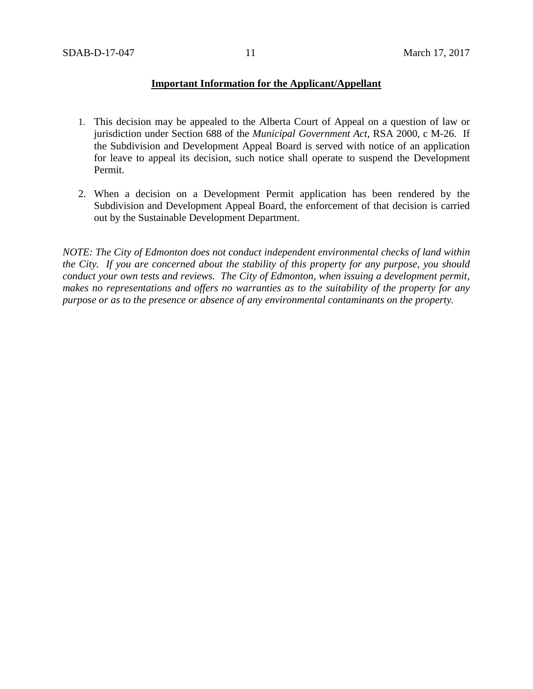## **Important Information for the Applicant/Appellant**

- 1. This decision may be appealed to the Alberta Court of Appeal on a question of law or jurisdiction under Section 688 of the *Municipal Government Act*, RSA 2000, c M-26. If the Subdivision and Development Appeal Board is served with notice of an application for leave to appeal its decision, such notice shall operate to suspend the Development Permit.
- 2. When a decision on a Development Permit application has been rendered by the Subdivision and Development Appeal Board, the enforcement of that decision is carried out by the Sustainable Development Department.

*NOTE: The City of Edmonton does not conduct independent environmental checks of land within the City. If you are concerned about the stability of this property for any purpose, you should conduct your own tests and reviews. The City of Edmonton, when issuing a development permit, makes no representations and offers no warranties as to the suitability of the property for any purpose or as to the presence or absence of any environmental contaminants on the property.*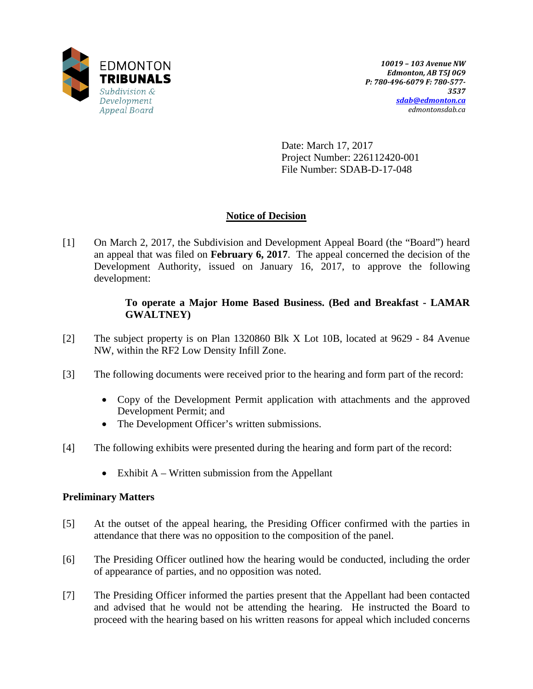

Date: March 17, 2017 Project Number: 226112420-001 File Number: SDAB-D-17-048

# **Notice of Decision**

[1] On March 2, 2017, the Subdivision and Development Appeal Board (the "Board") heard an appeal that was filed on **February 6, 2017**. The appeal concerned the decision of the Development Authority, issued on January 16, 2017, to approve the following development:

# **To operate a Major Home Based Business. (Bed and Breakfast - LAMAR GWALTNEY)**

- [2] The subject property is on Plan 1320860 Blk X Lot 10B, located at 9629 84 Avenue NW, within the RF2 Low Density Infill Zone.
- [3] The following documents were received prior to the hearing and form part of the record:
	- Copy of the Development Permit application with attachments and the approved Development Permit; and
	- The Development Officer's written submissions.
- [4] The following exhibits were presented during the hearing and form part of the record:
	- Exhibit  $A W$ ritten submission from the Appellant

## **Preliminary Matters**

- [5] At the outset of the appeal hearing, the Presiding Officer confirmed with the parties in attendance that there was no opposition to the composition of the panel.
- [6] The Presiding Officer outlined how the hearing would be conducted, including the order of appearance of parties, and no opposition was noted.
- [7] The Presiding Officer informed the parties present that the Appellant had been contacted and advised that he would not be attending the hearing. He instructed the Board to proceed with the hearing based on his written reasons for appeal which included concerns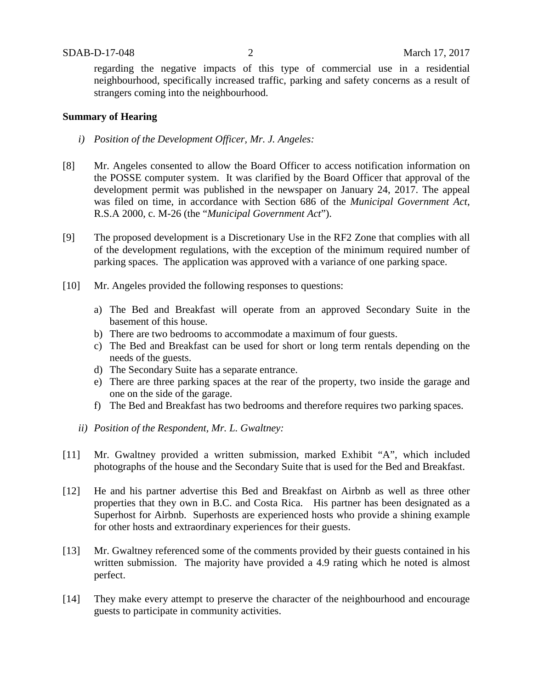regarding the negative impacts of this type of commercial use in a residential neighbourhood, specifically increased traffic, parking and safety concerns as a result of strangers coming into the neighbourhood.

### **Summary of Hearing**

- *i) Position of the Development Officer, Mr. J. Angeles:*
- [8] Mr. Angeles consented to allow the Board Officer to access notification information on the POSSE computer system. It was clarified by the Board Officer that approval of the development permit was published in the newspaper on January 24, 2017. The appeal was filed on time, in accordance with Section 686 of the *Municipal Government Act*, R.S.A 2000, c. M-26 (the "*Municipal Government Act*").
- [9] The proposed development is a Discretionary Use in the RF2 Zone that complies with all of the development regulations, with the exception of the minimum required number of parking spaces. The application was approved with a variance of one parking space.
- [10] Mr. Angeles provided the following responses to questions:
	- a) The Bed and Breakfast will operate from an approved Secondary Suite in the basement of this house.
	- b) There are two bedrooms to accommodate a maximum of four guests.
	- c) The Bed and Breakfast can be used for short or long term rentals depending on the needs of the guests.
	- d) The Secondary Suite has a separate entrance.
	- e) There are three parking spaces at the rear of the property, two inside the garage and one on the side of the garage.
	- f) The Bed and Breakfast has two bedrooms and therefore requires two parking spaces.
	- *ii) Position of the Respondent, Mr. L. Gwaltney:*
- [11] Mr. Gwaltney provided a written submission, marked Exhibit "A", which included photographs of the house and the Secondary Suite that is used for the Bed and Breakfast.
- [12] He and his partner advertise this Bed and Breakfast on Airbnb as well as three other properties that they own in B.C. and Costa Rica. His partner has been designated as a Superhost for Airbnb. Superhosts are experienced hosts who provide a shining example for other hosts and extraordinary experiences for their guests.
- [13] Mr. Gwaltney referenced some of the comments provided by their guests contained in his written submission. The majority have provided a 4.9 rating which he noted is almost perfect.
- [14] They make every attempt to preserve the character of the neighbourhood and encourage guests to participate in community activities.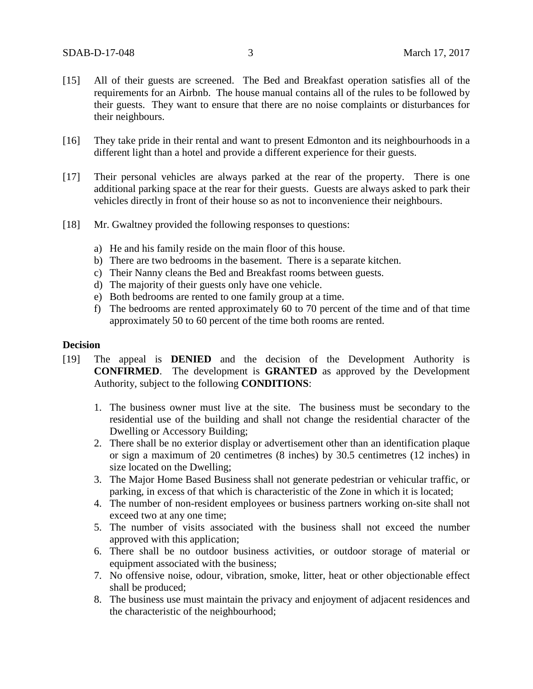- [15] All of their guests are screened. The Bed and Breakfast operation satisfies all of the requirements for an Airbnb. The house manual contains all of the rules to be followed by their guests. They want to ensure that there are no noise complaints or disturbances for their neighbours.
- [16] They take pride in their rental and want to present Edmonton and its neighbourhoods in a different light than a hotel and provide a different experience for their guests.
- [17] Their personal vehicles are always parked at the rear of the property. There is one additional parking space at the rear for their guests. Guests are always asked to park their vehicles directly in front of their house so as not to inconvenience their neighbours.
- [18] Mr. Gwaltney provided the following responses to questions:
	- a) He and his family reside on the main floor of this house.
	- b) There are two bedrooms in the basement. There is a separate kitchen.
	- c) Their Nanny cleans the Bed and Breakfast rooms between guests.
	- d) The majority of their guests only have one vehicle.
	- e) Both bedrooms are rented to one family group at a time.
	- f) The bedrooms are rented approximately 60 to 70 percent of the time and of that time approximately 50 to 60 percent of the time both rooms are rented.

## **Decision**

- [19] The appeal is **DENIED** and the decision of the Development Authority is **CONFIRMED**. The development is **GRANTED** as approved by the Development Authority, subject to the following **CONDITIONS**:
	- 1. The business owner must live at the site. The business must be secondary to the residential use of the building and shall not change the residential character of the Dwelling or Accessory Building;
	- 2. There shall be no exterior display or advertisement other than an identification plaque or sign a maximum of 20 centimetres (8 inches) by 30.5 centimetres (12 inches) in size located on the Dwelling;
	- 3. The Major Home Based Business shall not generate pedestrian or vehicular traffic, or parking, in excess of that which is characteristic of the Zone in which it is located;
	- 4. The number of non-resident employees or business partners working on-site shall not exceed two at any one time;
	- 5. The number of visits associated with the business shall not exceed the number approved with this application;
	- 6. There shall be no outdoor business activities, or outdoor storage of material or equipment associated with the business;
	- 7. No offensive noise, odour, vibration, smoke, litter, heat or other objectionable effect shall be produced;
	- 8. The business use must maintain the privacy and enjoyment of adjacent residences and the characteristic of the neighbourhood;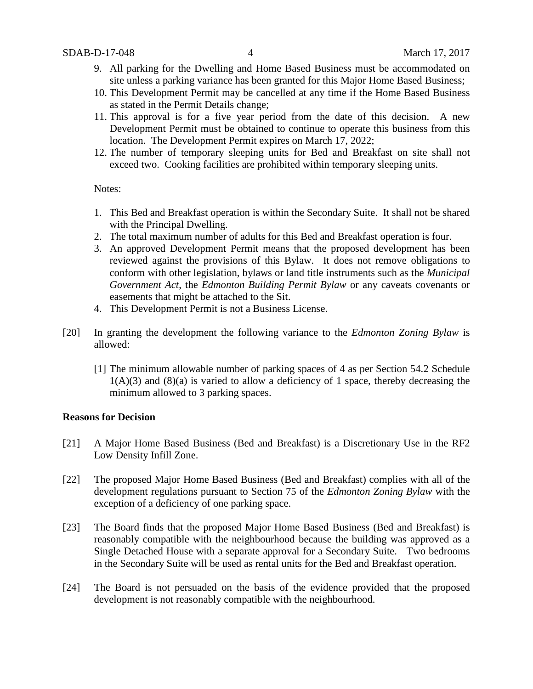- 9. All parking for the Dwelling and Home Based Business must be accommodated on site unless a parking variance has been granted for this Major Home Based Business;
- 10. This Development Permit may be cancelled at any time if the Home Based Business as stated in the Permit Details change;
- 11. This approval is for a five year period from the date of this decision. A new Development Permit must be obtained to continue to operate this business from this location. The Development Permit expires on March 17, 2022;
- 12. The number of temporary sleeping units for Bed and Breakfast on site shall not exceed two. Cooking facilities are prohibited within temporary sleeping units.

Notes:

- 1. This Bed and Breakfast operation is within the Secondary Suite. It shall not be shared with the Principal Dwelling.
- 2. The total maximum number of adults for this Bed and Breakfast operation is four.
- 3. An approved Development Permit means that the proposed development has been reviewed against the provisions of this Bylaw. It does not remove obligations to conform with other legislation, bylaws or land title instruments such as the *Municipal Government Act*, the *Edmonton Building Permit Bylaw* or any caveats covenants or easements that might be attached to the Sit.
- 4. This Development Permit is not a Business License.
- [20] In granting the development the following variance to the *Edmonton Zoning Bylaw* is allowed:
	- [1] The minimum allowable number of parking spaces of 4 as per Section 54.2 Schedule  $1(A)(3)$  and  $(8)(a)$  is varied to allow a deficiency of 1 space, thereby decreasing the minimum allowed to 3 parking spaces.

## **Reasons for Decision**

- [21] A Major Home Based Business (Bed and Breakfast) is a Discretionary Use in the RF2 Low Density Infill Zone.
- [22] The proposed Major Home Based Business (Bed and Breakfast) complies with all of the development regulations pursuant to Section 75 of the *Edmonton Zoning Bylaw* with the exception of a deficiency of one parking space.
- [23] The Board finds that the proposed Major Home Based Business (Bed and Breakfast) is reasonably compatible with the neighbourhood because the building was approved as a Single Detached House with a separate approval for a Secondary Suite. Two bedrooms in the Secondary Suite will be used as rental units for the Bed and Breakfast operation.
- [24] The Board is not persuaded on the basis of the evidence provided that the proposed development is not reasonably compatible with the neighbourhood.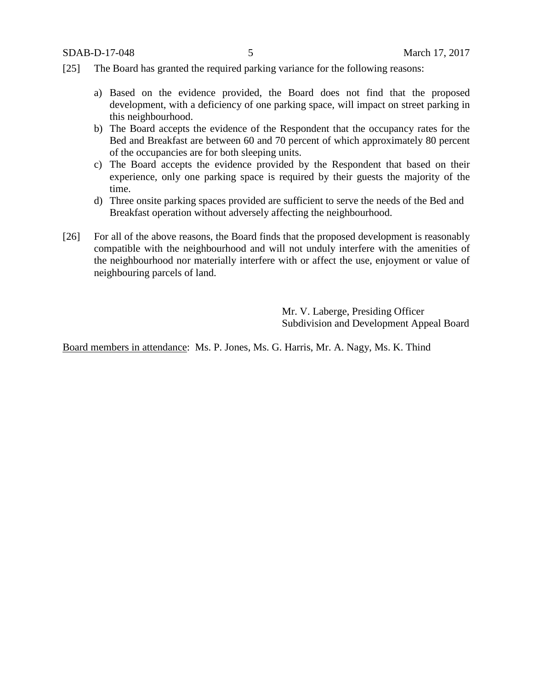- [25] The Board has granted the required parking variance for the following reasons:
	- a) Based on the evidence provided, the Board does not find that the proposed development, with a deficiency of one parking space, will impact on street parking in this neighbourhood.
	- b) The Board accepts the evidence of the Respondent that the occupancy rates for the Bed and Breakfast are between 60 and 70 percent of which approximately 80 percent of the occupancies are for both sleeping units.
	- c) The Board accepts the evidence provided by the Respondent that based on their experience, only one parking space is required by their guests the majority of the time.
	- d) Three onsite parking spaces provided are sufficient to serve the needs of the Bed and Breakfast operation without adversely affecting the neighbourhood.
- [26] For all of the above reasons, the Board finds that the proposed development is reasonably compatible with the neighbourhood and will not unduly interfere with the amenities of the neighbourhood nor materially interfere with or affect the use, enjoyment or value of neighbouring parcels of land.

Mr. V. Laberge, Presiding Officer Subdivision and Development Appeal Board

Board members in attendance: Ms. P. Jones, Ms. G. Harris, Mr. A. Nagy, Ms. K. Thind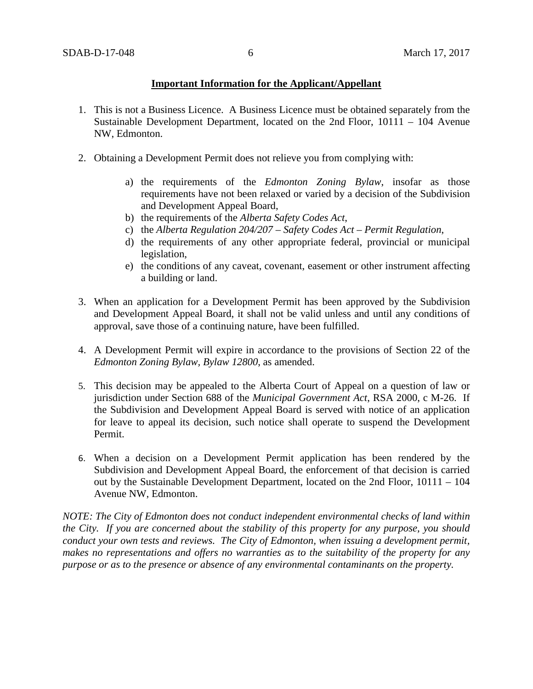# **Important Information for the Applicant/Appellant**

- 1. This is not a Business Licence. A Business Licence must be obtained separately from the Sustainable Development Department, located on the 2nd Floor, 10111 – 104 Avenue NW, Edmonton.
- 2. Obtaining a Development Permit does not relieve you from complying with:
	- a) the requirements of the *Edmonton Zoning Bylaw*, insofar as those requirements have not been relaxed or varied by a decision of the Subdivision and Development Appeal Board,
	- b) the requirements of the *Alberta Safety Codes Act*,
	- c) the *Alberta Regulation 204/207 – Safety Codes Act – Permit Regulation*,
	- d) the requirements of any other appropriate federal, provincial or municipal legislation,
	- e) the conditions of any caveat, covenant, easement or other instrument affecting a building or land.
- 3. When an application for a Development Permit has been approved by the Subdivision and Development Appeal Board, it shall not be valid unless and until any conditions of approval, save those of a continuing nature, have been fulfilled.
- 4. A Development Permit will expire in accordance to the provisions of Section 22 of the *Edmonton Zoning Bylaw, Bylaw 12800*, as amended.
- 5. This decision may be appealed to the Alberta Court of Appeal on a question of law or jurisdiction under Section 688 of the *Municipal Government Act*, RSA 2000, c M-26. If the Subdivision and Development Appeal Board is served with notice of an application for leave to appeal its decision, such notice shall operate to suspend the Development Permit.
- 6. When a decision on a Development Permit application has been rendered by the Subdivision and Development Appeal Board, the enforcement of that decision is carried out by the Sustainable Development Department, located on the 2nd Floor, 10111 – 104 Avenue NW, Edmonton.

*NOTE: The City of Edmonton does not conduct independent environmental checks of land within the City. If you are concerned about the stability of this property for any purpose, you should conduct your own tests and reviews. The City of Edmonton, when issuing a development permit, makes no representations and offers no warranties as to the suitability of the property for any purpose or as to the presence or absence of any environmental contaminants on the property.*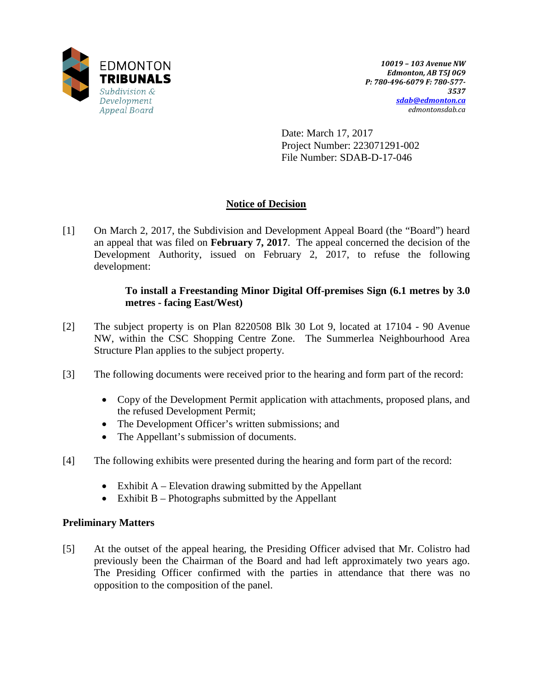

Date: March 17, 2017 Project Number: 223071291-002 File Number: SDAB-D-17-046

# **Notice of Decision**

[1] On March 2, 2017, the Subdivision and Development Appeal Board (the "Board") heard an appeal that was filed on **February 7, 2017**. The appeal concerned the decision of the Development Authority, issued on February 2, 2017, to refuse the following development:

# **To install a Freestanding Minor Digital Off-premises Sign (6.1 metres by 3.0 metres - facing East/West)**

- [2] The subject property is on Plan 8220508 Blk 30 Lot 9, located at 17104 90 Avenue NW, within the CSC Shopping Centre Zone. The Summerlea Neighbourhood Area Structure Plan applies to the subject property.
- [3] The following documents were received prior to the hearing and form part of the record:
	- Copy of the Development Permit application with attachments, proposed plans, and the refused Development Permit;
	- The Development Officer's written submissions; and
	- The Appellant's submission of documents.
- [4] The following exhibits were presented during the hearing and form part of the record:
	- Exhibit  $A$  Elevation drawing submitted by the Appellant
	- Exhibit B Photographs submitted by the Appellant

## **Preliminary Matters**

[5] At the outset of the appeal hearing, the Presiding Officer advised that Mr. Colistro had previously been the Chairman of the Board and had left approximately two years ago. The Presiding Officer confirmed with the parties in attendance that there was no opposition to the composition of the panel.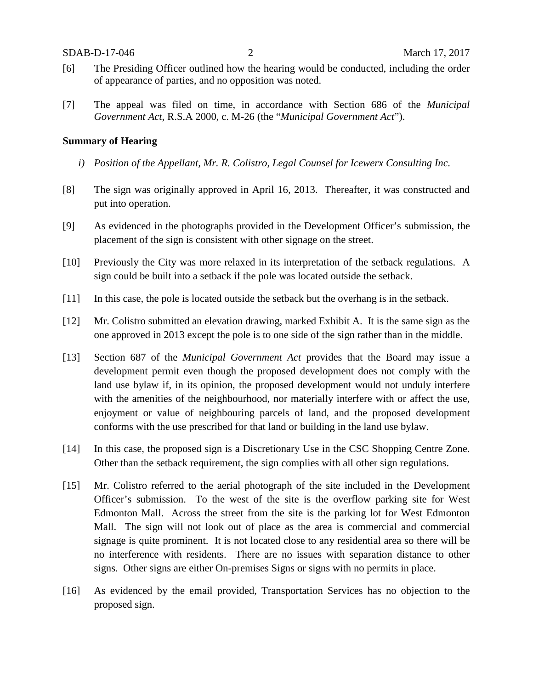- [6] The Presiding Officer outlined how the hearing would be conducted, including the order of appearance of parties, and no opposition was noted.
- [7] The appeal was filed on time, in accordance with Section 686 of the *Municipal Government Act*, R.S.A 2000, c. M-26 (the "*Municipal Government Act*").

### **Summary of Hearing**

- *i) Position of the Appellant, Mr. R. Colistro, Legal Counsel for Icewerx Consulting Inc.*
- [8] The sign was originally approved in April 16, 2013. Thereafter, it was constructed and put into operation.
- [9] As evidenced in the photographs provided in the Development Officer's submission, the placement of the sign is consistent with other signage on the street.
- [10] Previously the City was more relaxed in its interpretation of the setback regulations. A sign could be built into a setback if the pole was located outside the setback.
- [11] In this case, the pole is located outside the setback but the overhang is in the setback.
- [12] Mr. Colistro submitted an elevation drawing, marked Exhibit A. It is the same sign as the one approved in 2013 except the pole is to one side of the sign rather than in the middle.
- [13] Section 687 of the *Municipal Government Act* provides that the Board may issue a development permit even though the proposed development does not comply with the land use bylaw if, in its opinion, the proposed development would not unduly interfere with the amenities of the neighbourhood, nor materially interfere with or affect the use, enjoyment or value of neighbouring parcels of land, and the proposed development conforms with the use prescribed for that land or building in the land use bylaw.
- [14] In this case, the proposed sign is a Discretionary Use in the CSC Shopping Centre Zone. Other than the setback requirement, the sign complies with all other sign regulations.
- [15] Mr. Colistro referred to the aerial photograph of the site included in the Development Officer's submission. To the west of the site is the overflow parking site for West Edmonton Mall. Across the street from the site is the parking lot for West Edmonton Mall. The sign will not look out of place as the area is commercial and commercial signage is quite prominent. It is not located close to any residential area so there will be no interference with residents. There are no issues with separation distance to other signs. Other signs are either On-premises Signs or signs with no permits in place.
- [16] As evidenced by the email provided, Transportation Services has no objection to the proposed sign.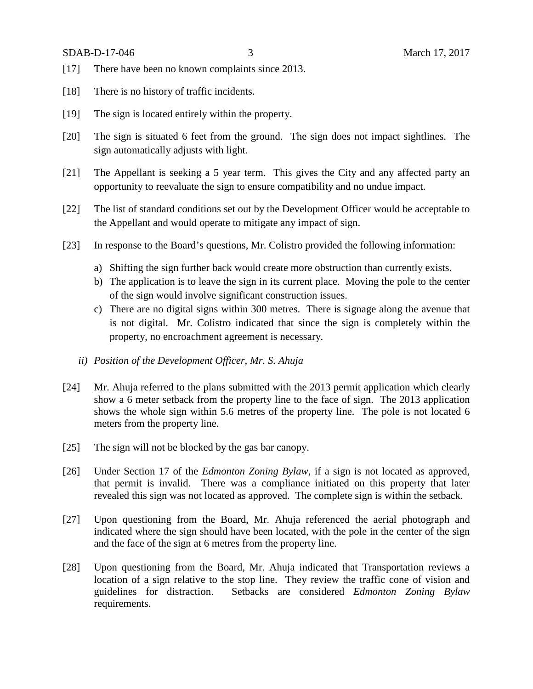- [17] There have been no known complaints since 2013.
- [18] There is no history of traffic incidents.
- [19] The sign is located entirely within the property.
- [20] The sign is situated 6 feet from the ground. The sign does not impact sightlines. The sign automatically adjusts with light.
- [21] The Appellant is seeking a 5 year term. This gives the City and any affected party an opportunity to reevaluate the sign to ensure compatibility and no undue impact.
- [22] The list of standard conditions set out by the Development Officer would be acceptable to the Appellant and would operate to mitigate any impact of sign.
- [23] In response to the Board's questions, Mr. Colistro provided the following information:
	- a) Shifting the sign further back would create more obstruction than currently exists.
	- b) The application is to leave the sign in its current place. Moving the pole to the center of the sign would involve significant construction issues.
	- c) There are no digital signs within 300 metres. There is signage along the avenue that is not digital. Mr. Colistro indicated that since the sign is completely within the property, no encroachment agreement is necessary.
	- *ii) Position of the Development Officer, Mr. S. Ahuja*
- [24] Mr. Ahuja referred to the plans submitted with the 2013 permit application which clearly show a 6 meter setback from the property line to the face of sign. The 2013 application shows the whole sign within 5.6 metres of the property line. The pole is not located 6 meters from the property line.
- [25] The sign will not be blocked by the gas bar canopy.
- [26] Under Section 17 of the *Edmonton Zoning Bylaw*, if a sign is not located as approved, that permit is invalid. There was a compliance initiated on this property that later revealed this sign was not located as approved. The complete sign is within the setback.
- [27] Upon questioning from the Board, Mr. Ahuja referenced the aerial photograph and indicated where the sign should have been located, with the pole in the center of the sign and the face of the sign at 6 metres from the property line.
- [28] Upon questioning from the Board, Mr. Ahuja indicated that Transportation reviews a location of a sign relative to the stop line. They review the traffic cone of vision and guidelines for distraction. Setbacks are considered *Edmonton Zoning Bylaw* requirements.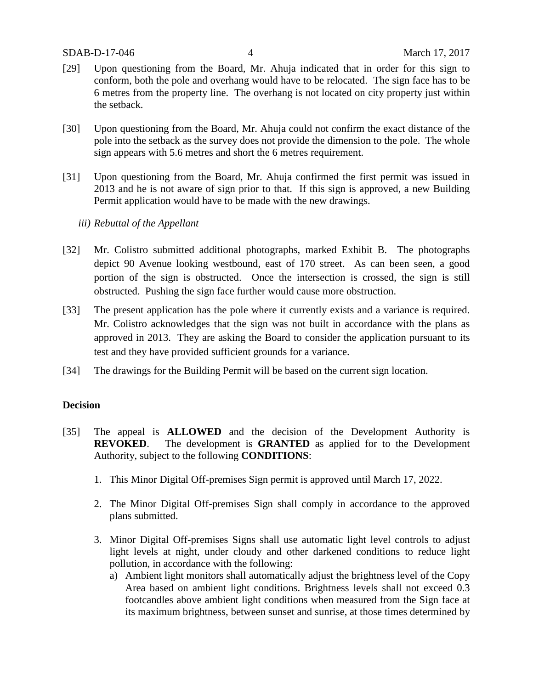- [29] Upon questioning from the Board, Mr. Ahuja indicated that in order for this sign to conform, both the pole and overhang would have to be relocated. The sign face has to be 6 metres from the property line. The overhang is not located on city property just within the setback.
- [30] Upon questioning from the Board, Mr. Ahuja could not confirm the exact distance of the pole into the setback as the survey does not provide the dimension to the pole. The whole sign appears with 5.6 metres and short the 6 metres requirement.
- [31] Upon questioning from the Board, Mr. Ahuja confirmed the first permit was issued in 2013 and he is not aware of sign prior to that. If this sign is approved, a new Building Permit application would have to be made with the new drawings.
	- *iii) Rebuttal of the Appellant*
- [32] Mr. Colistro submitted additional photographs, marked Exhibit B. The photographs depict 90 Avenue looking westbound, east of 170 street. As can been seen, a good portion of the sign is obstructed. Once the intersection is crossed, the sign is still obstructed. Pushing the sign face further would cause more obstruction.
- [33] The present application has the pole where it currently exists and a variance is required. Mr. Colistro acknowledges that the sign was not built in accordance with the plans as approved in 2013. They are asking the Board to consider the application pursuant to its test and they have provided sufficient grounds for a variance.
- [34] The drawings for the Building Permit will be based on the current sign location.

## **Decision**

- [35] The appeal is **ALLOWED** and the decision of the Development Authority is **REVOKED**. The development is **GRANTED** as applied for to the Development Authority, subject to the following **CONDITIONS**:
	- 1. This Minor Digital Off-premises Sign permit is approved until March 17, 2022.
	- 2. The Minor Digital Off-premises Sign shall comply in accordance to the approved plans submitted.
	- 3. Minor Digital Off-premises Signs shall use automatic light level controls to adjust light levels at night, under cloudy and other darkened conditions to reduce light pollution, in accordance with the following:
		- a) Ambient light monitors shall automatically adjust the brightness level of the Copy Area based on ambient light conditions. Brightness levels shall not exceed 0.3 footcandles above ambient light conditions when measured from the Sign face at its maximum brightness, between sunset and sunrise, at those times determined by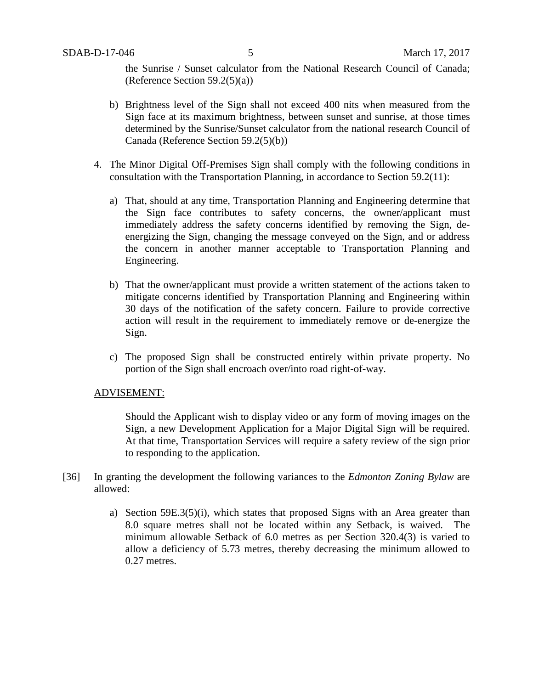the Sunrise / Sunset calculator from the National Research Council of Canada; (Reference Section 59.2(5)(a))

- b) Brightness level of the Sign shall not exceed 400 nits when measured from the Sign face at its maximum brightness, between sunset and sunrise, at those times determined by the Sunrise/Sunset calculator from the national research Council of Canada (Reference Section 59.2(5)(b))
- 4. The Minor Digital Off-Premises Sign shall comply with the following conditions in consultation with the Transportation Planning, in accordance to Section 59.2(11):
	- a) That, should at any time, Transportation Planning and Engineering determine that the Sign face contributes to safety concerns, the owner/applicant must immediately address the safety concerns identified by removing the Sign, deenergizing the Sign, changing the message conveyed on the Sign, and or address the concern in another manner acceptable to Transportation Planning and Engineering.
	- b) That the owner/applicant must provide a written statement of the actions taken to mitigate concerns identified by Transportation Planning and Engineering within 30 days of the notification of the safety concern. Failure to provide corrective action will result in the requirement to immediately remove or de-energize the Sign.
	- c) The proposed Sign shall be constructed entirely within private property. No portion of the Sign shall encroach over/into road right-of-way.

### ADVISEMENT:

Should the Applicant wish to display video or any form of moving images on the Sign, a new Development Application for a Major Digital Sign will be required. At that time, Transportation Services will require a safety review of the sign prior to responding to the application.

- [36] In granting the development the following variances to the *Edmonton Zoning Bylaw* are allowed:
	- a) Section 59E.3(5)(i), which states that proposed Signs with an Area greater than 8.0 square metres shall not be located within any Setback, is waived. The minimum allowable Setback of 6.0 metres as per Section 320.4(3) is varied to allow a deficiency of 5.73 metres, thereby decreasing the minimum allowed to 0.27 metres.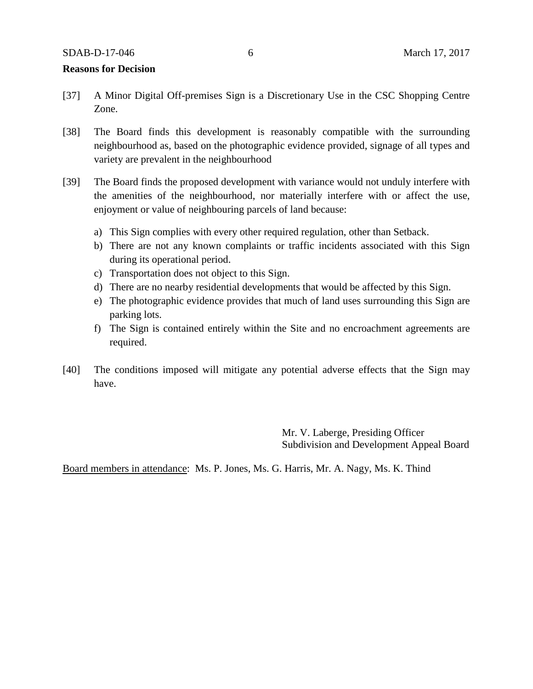#### **Reasons for Decision**

- [37] A Minor Digital Off-premises Sign is a Discretionary Use in the CSC Shopping Centre Zone.
- [38] The Board finds this development is reasonably compatible with the surrounding neighbourhood as, based on the photographic evidence provided, signage of all types and variety are prevalent in the neighbourhood
- [39] The Board finds the proposed development with variance would not unduly interfere with the amenities of the neighbourhood, nor materially interfere with or affect the use, enjoyment or value of neighbouring parcels of land because:
	- a) This Sign complies with every other required regulation, other than Setback.
	- b) There are not any known complaints or traffic incidents associated with this Sign during its operational period.
	- c) Transportation does not object to this Sign.
	- d) There are no nearby residential developments that would be affected by this Sign.
	- e) The photographic evidence provides that much of land uses surrounding this Sign are parking lots.
	- f) The Sign is contained entirely within the Site and no encroachment agreements are required.
- [40] The conditions imposed will mitigate any potential adverse effects that the Sign may have.

Mr. V. Laberge, Presiding Officer Subdivision and Development Appeal Board

Board members in attendance: Ms. P. Jones, Ms. G. Harris, Mr. A. Nagy, Ms. K. Thind